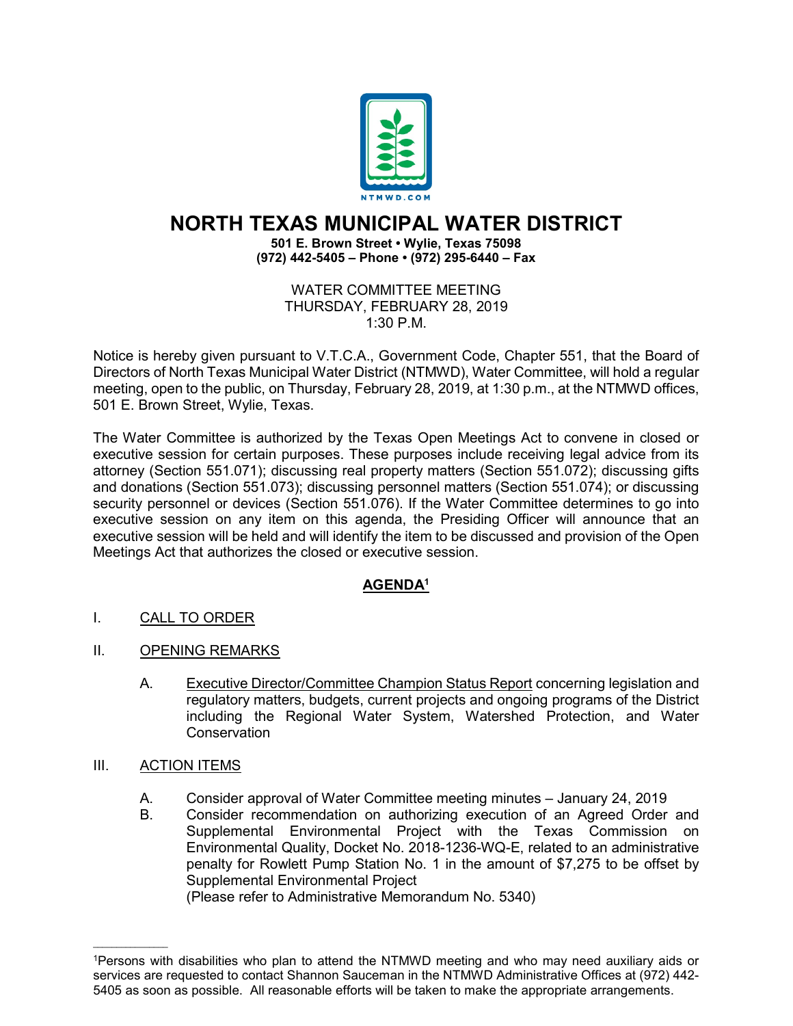

## **NORTH TEXAS MUNICIPAL WATER DISTRICT**

## **501 E. Brown Street • Wylie, Texas 75098 (972) 442-5405 – Phone • (972) 295-6440 – Fax**

WATER COMMITTEE MEETING THURSDAY, FEBRUARY 28, 2019 1:30 P.M.

Notice is hereby given pursuant to V.T.C.A., Government Code, Chapter 551, that the Board of Directors of North Texas Municipal Water District (NTMWD), Water Committee, will hold a regular meeting, open to the public, on Thursday, February 28, 2019, at 1:30 p.m., at the NTMWD offices, 501 E. Brown Street, Wylie, Texas.

The Water Committee is authorized by the Texas Open Meetings Act to convene in closed or executive session for certain purposes. These purposes include receiving legal advice from its attorney (Section 551.071); discussing real property matters (Section 551.072); discussing gifts and donations (Section 551.073); discussing personnel matters (Section 551.074); or discussing security personnel or devices (Section 551.076). If the Water Committee determines to go into executive session on any item on this agenda, the Presiding Officer will announce that an executive session will be held and will identify the item to be discussed and provision of the Open Meetings Act that authorizes the closed or executive session.

## **AGENDA1**

- I. CALL TO ORDER
- II. OPENING REMARKS
	- A. Executive Director/Committee Champion Status Report concerning legislation and regulatory matters, budgets, current projects and ongoing programs of the District including the Regional Water System, Watershed Protection, and Water Conservation
- III. ACTION ITEMS

 $\overline{\phantom{a}}$  , where  $\overline{\phantom{a}}$ 

- A. Consider approval of Water Committee meeting minutes January 24, 2019
- B. Consider recommendation on authorizing execution of an Agreed Order and Supplemental Environmental Project with the Texas Commission on Environmental Quality, Docket No. 2018-1236-WQ-E, related to an administrative penalty for Rowlett Pump Station No. 1 in the amount of \$7,275 to be offset by Supplemental Environmental Project

(Please refer to Administrative Memorandum No. 5340)

<sup>1</sup>Persons with disabilities who plan to attend the NTMWD meeting and who may need auxiliary aids or services are requested to contact Shannon Sauceman in the NTMWD Administrative Offices at (972) 442- 5405 as soon as possible. All reasonable efforts will be taken to make the appropriate arrangements.